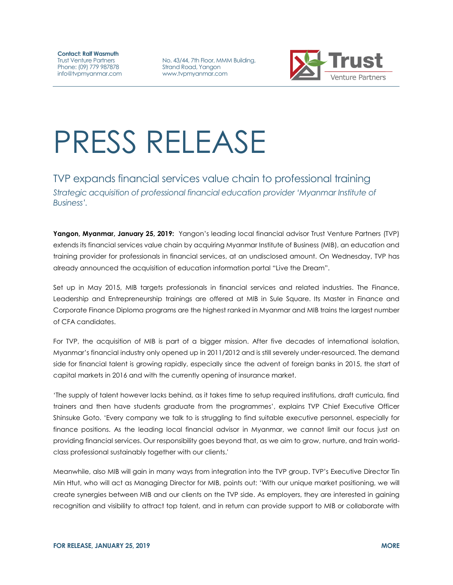**Contact: Ralf Wasmuth** Trust Venture Partners Phone: (09) 779 987878 info@tvpmyanmar.com

No. 43/44, 7th Floor, MMM Building, Strand Road, Yangon www.tvpmyanmar.com



## PRESS RELEASE

## TVP expands financial services value chain to professional training *Strategic acquisition of professional financial education provider 'Myanmar Institute of Business'.*

**Yangon, Myanmar, January 25, 2019:** Yangon's leading local financial advisor Trust Venture Partners (TVP) extends its financial services value chain by acquiring Myanmar Institute of Business (MIB), an education and training provider for professionals in financial services, at an undisclosed amount. On Wednesday, TVP has already announced the acquisition of education information portal "Live the Dream".

Set up in May 2015, MIB targets professionals in financial services and related industries. The Finance, Leadership and Entrepreneurship trainings are offered at MIB in Sule Square. Its Master in Finance and Corporate Finance Diploma programs are the highest ranked in Myanmar and MIB trains the largest number of CFA candidates.

For TVP, the acquisition of MIB is part of a bigger mission. After five decades of international isolation, Myanmar's financial industry only opened up in 2011/2012 and is still severely under-resourced. The demand side for financial talent is growing rapidly, especially since the advent of foreign banks in 2015, the start of capital markets in 2016 and with the currently opening of insurance market.

'The supply of talent however lacks behind, as it takes time to setup required institutions, draft curricula, find trainers and then have students graduate from the programmes', explains TVP Chief Executive Officer Shinsuke Goto. 'Every company we talk to is struggling to find suitable executive personnel, especially for finance positions. As the leading local financial advisor in Myanmar, we cannot limit our focus just on providing financial services. Our responsibility goes beyond that, as we aim to grow, nurture, and train worldclass professional sustainably together with our clients.'

Meanwhile, also MIB will gain in many ways from integration into the TVP group. TVP's Executive Director Tin Min Htut, who will act as Managing Director for MIB, points out: 'With our unique market positioning, we will create synergies between MIB and our clients on the TVP side. As employers, they are interested in gaining recognition and visibility to attract top talent, and in return can provide support to MIB or collaborate with